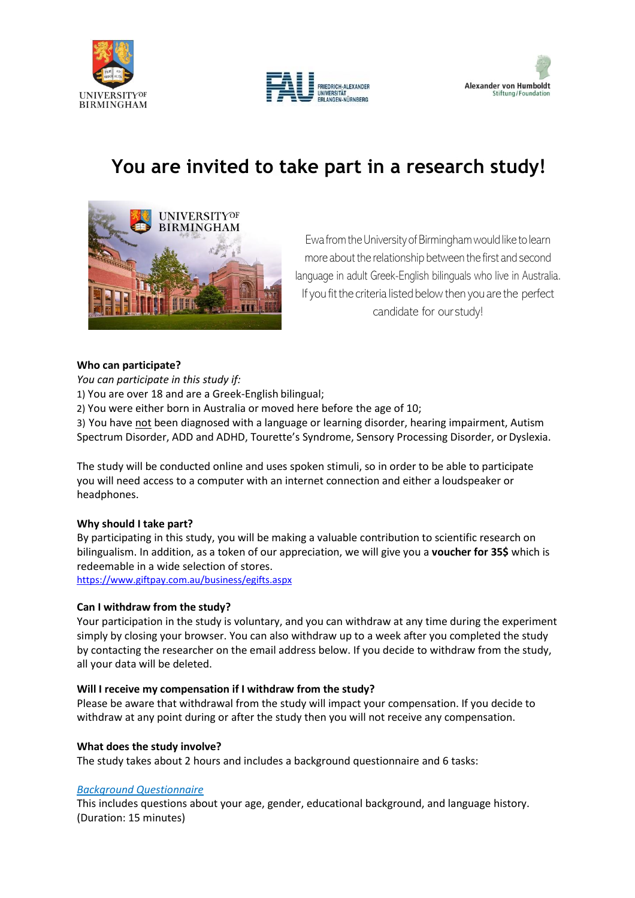





# **You are invited to take part in a research study!**



Ewa from the University of Birmingham would like to learn more about the relationship between the first and second language in adult Greek-English bilinguals who live in Australia. If you fit the criteria listed below then you are the perfect candidate for our study!

### **Who can participate?**

*You can participate in this study if:* 1) You are over 18 and are a Greek-English bilingual; 2) You were either born in Australia or moved here before the age of 10; 3) You have not been diagnosed with a language or learning disorder, hearing impairment, Autism Spectrum Disorder, ADD and ADHD, Tourette's Syndrome, Sensory Processing Disorder, or Dyslexia.

The study will be conducted online and uses spoken stimuli, so in order to be able to participate you will need access to a computer with an internet connection and either a loudspeaker or headphones.

### **Why should I take part?**

By participating in this study, you will be making a valuable contribution to scientific research on bilingualism. In addition, as a token of our appreciation, we will give you a **voucher for 35\$** which is redeemable in a wide selection of stores. <https://www.giftpay.com.au/business/egifts.aspx>

### **Can I withdraw from the study?**

Your participation in the study is voluntary, and you can withdraw at any time during the experiment simply by closing your browser. You can also withdraw up to a week after you completed the study by contacting the researcher on the email address below. If you decide to withdraw from the study, all your data will be deleted.

### **Will I receive my compensation if I withdraw from the study?**

Please be aware that withdrawal from the study will impact your compensation. If you decide to withdraw at any point during or after the study then you will not receive any compensation.

### **What does the study involve?**

The study takes about 2 hours and includes a background questionnaire and 6 tasks:

### *Background Questionnaire*

This includes questions about your age, gender, educational background, and language history. (Duration: 15 minutes)